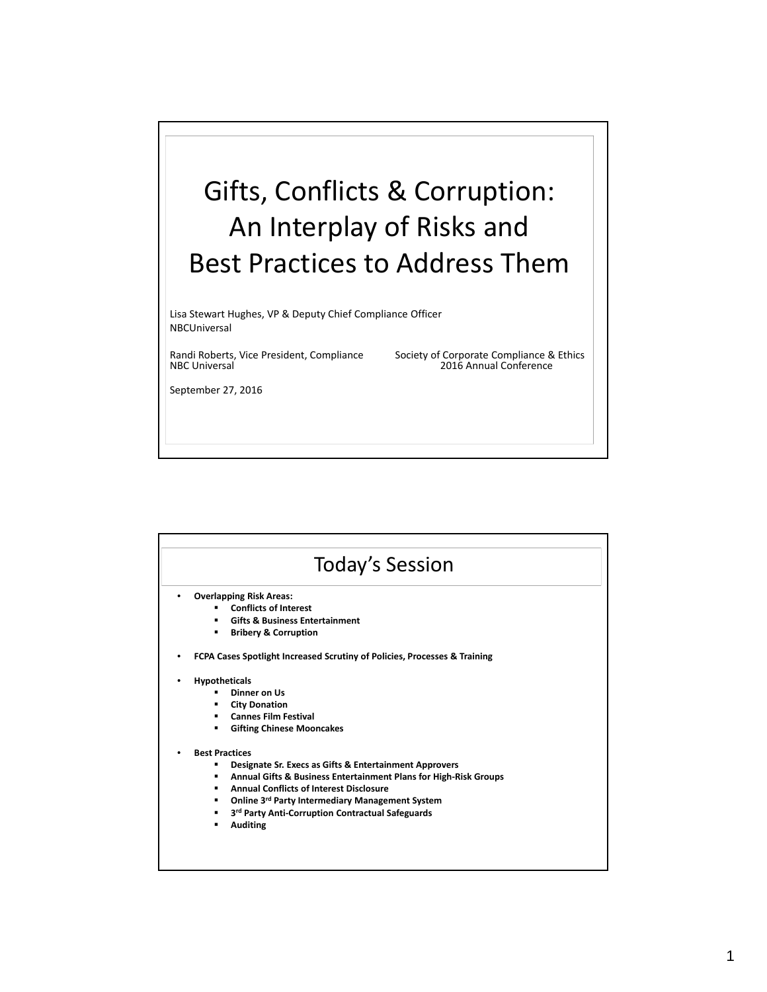

| <b>Today's Session</b> |                                                                           |
|------------------------|---------------------------------------------------------------------------|
|                        | <b>Overlapping Risk Areas:</b>                                            |
|                        | <b>Conflicts of Interest</b>                                              |
|                        | <b>Gifts &amp; Business Entertainment</b>                                 |
|                        | <b>Bribery &amp; Corruption</b>                                           |
|                        | FCPA Cases Spotlight Increased Scrutiny of Policies, Processes & Training |
|                        | <b>Hypotheticals</b>                                                      |
|                        | Dinner on Us                                                              |
|                        | <b>City Donation</b><br>٠                                                 |
|                        | <b>Cannes Film Festival</b>                                               |
|                        | <b>Gifting Chinese Mooncakes</b><br>٠                                     |
|                        | <b>Best Practices</b>                                                     |
|                        | Designate Sr. Execs as Gifts & Entertainment Approvers<br>٠               |
|                        | Annual Gifts & Business Entertainment Plans for High-Risk Groups<br>٠.    |
|                        | <b>Annual Conflicts of Interest Disclosure</b>                            |
|                        | Online 3rd Party Intermediary Management System<br>٠                      |
|                        | 3rd Party Anti-Corruption Contractual Safeguards<br>٠                     |
|                        | <b>Auditing</b>                                                           |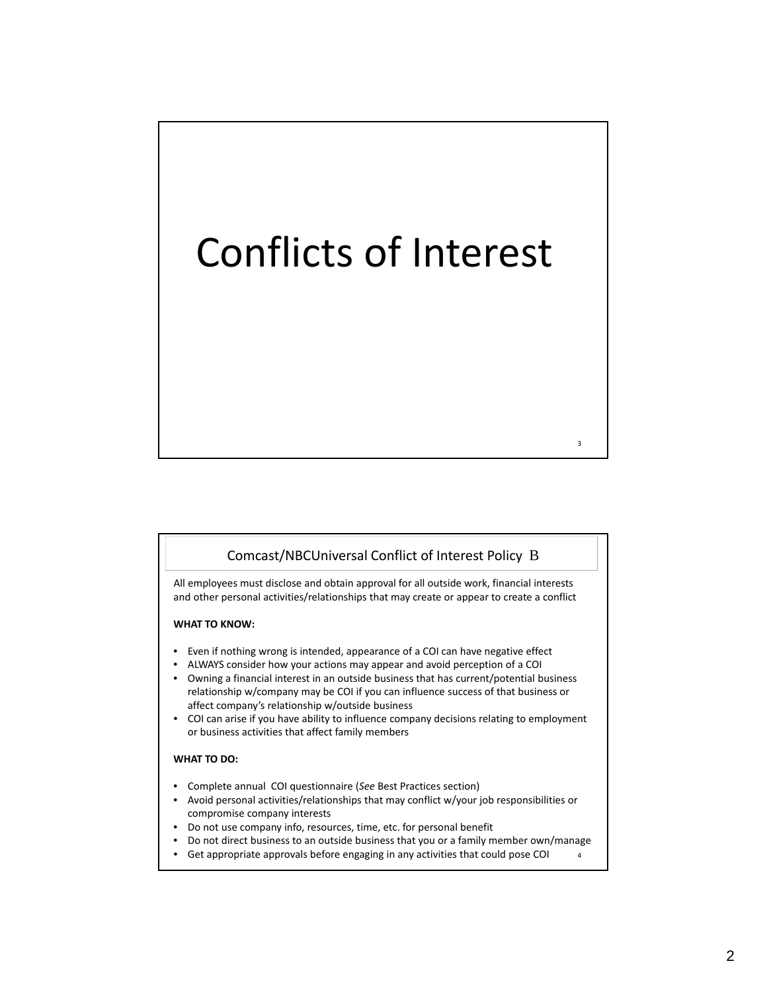# Conflicts of Interest

## Comcast/NBCUniversal Conflict of Interest Policy B

3

4

All employees must disclose and obtain approval for all outside work, financial interests and other personal activities/relationships that may create or appear to create a conflict

#### **WHAT TO KNOW:**

- Even if nothing wrong is intended, appearance of a COI can have negative effect
- ALWAYS consider how your actions may appear and avoid perception of a COI
- Owning a financial interest in an outside business that has current/potential business relationship w/company may be COI if you can influence success of that business or affect company's relationship w/outside business
- COI can arise if you have ability to influence company decisions relating to employment or business activities that affect family members

### **WHAT TO DO:**

- Complete annual COI questionnaire (*See* Best Practices section)
- Avoid personal activities/relationships that may conflict w/your job responsibilities or compromise company interests
- Do not use company info, resources, time, etc. for personal benefit
- Do not direct business to an outside business that you or a family member own/manage
- Get appropriate approvals before engaging in any activities that could pose COI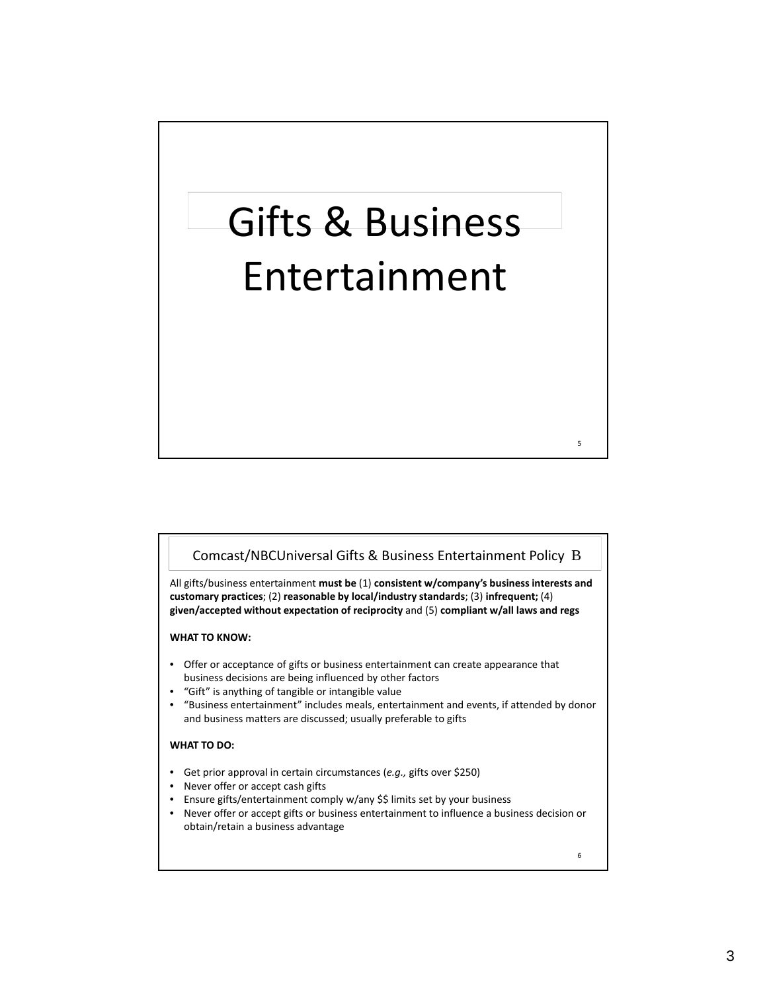# Gifts & Business Entertainment

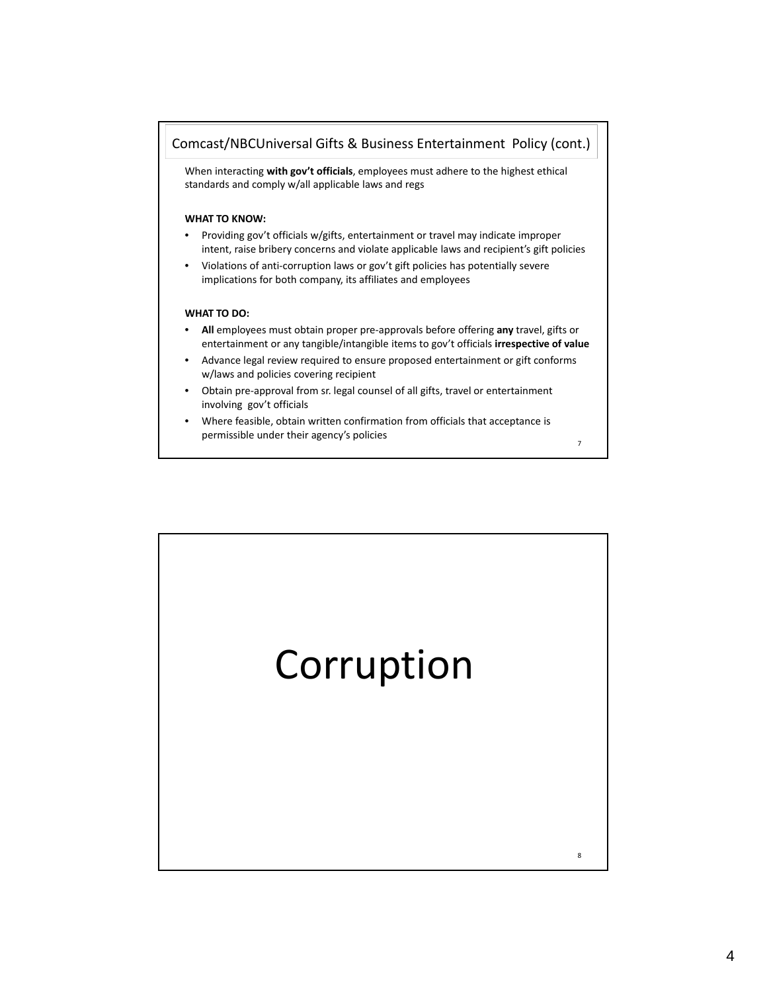

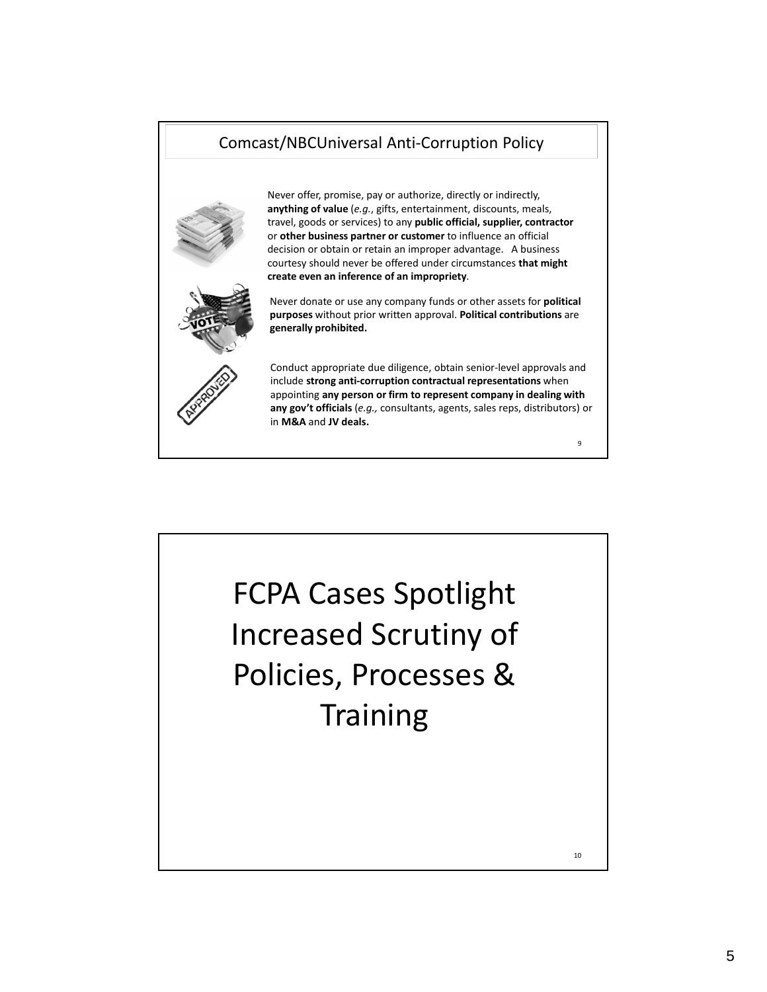# Comcast/NBCUniversal Anti‐Corruption Policy



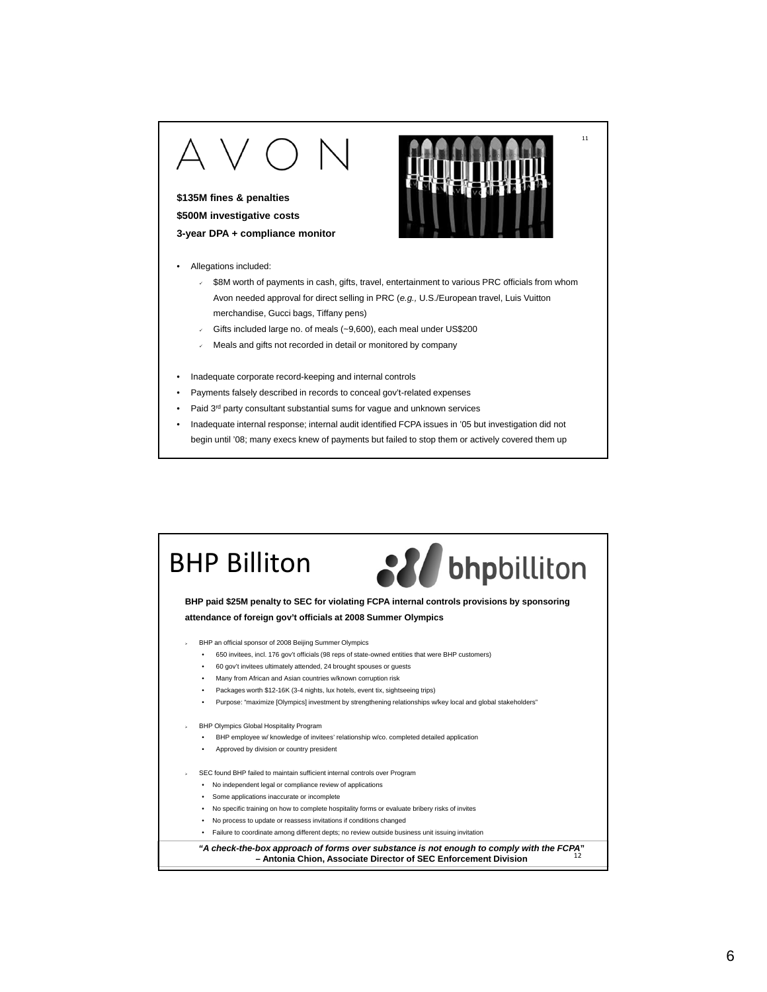## **\$135M fines & penalties \$500M investigative costs**

**3-year DPA + compliance monitor**

- Allegations included:
	- $\sqrt{ }$  \$8M worth of payments in cash, gifts, travel, entertainment to various PRC officials from whom Avon needed approval for direct selling in PRC (*e.g.,* U.S./European travel, Luis Vuitton merchandise, Gucci bags, Tiffany pens)

- Gifts included large no. of meals (~9,600), each meal under US\$200
- $\sqrt{ }$  Meals and gifts not recorded in detail or monitored by company
- Inadequate corporate record-keeping and internal controls
- Payments falsely described in records to conceal gov't-related expenses
- Paid 3<sup>rd</sup> party consultant substantial sums for vague and unknown services
- Inadequate internal response; internal audit identified FCPA issues in '05 but investigation did not begin until '08; many execs knew of payments but failed to stop them or actively covered them up

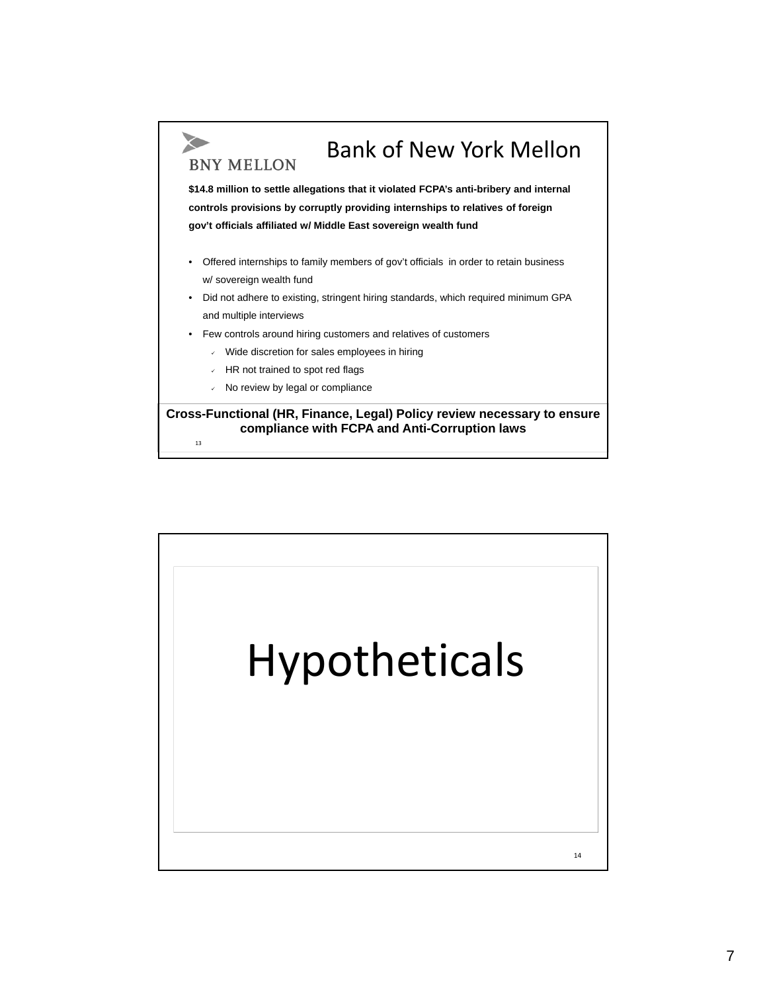

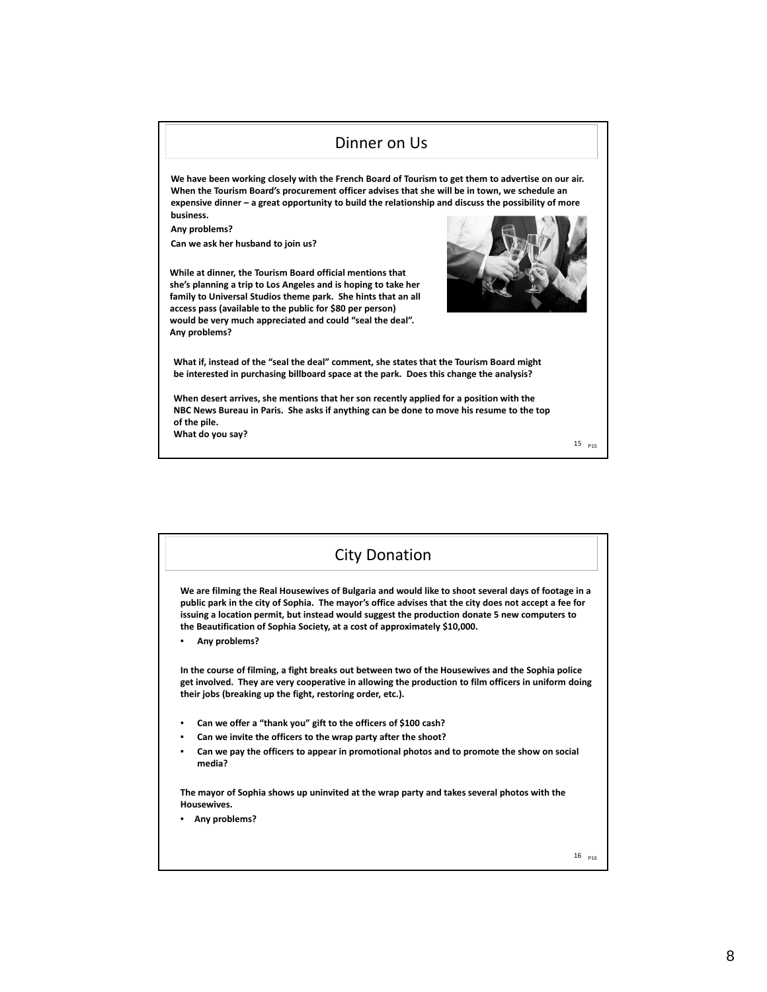

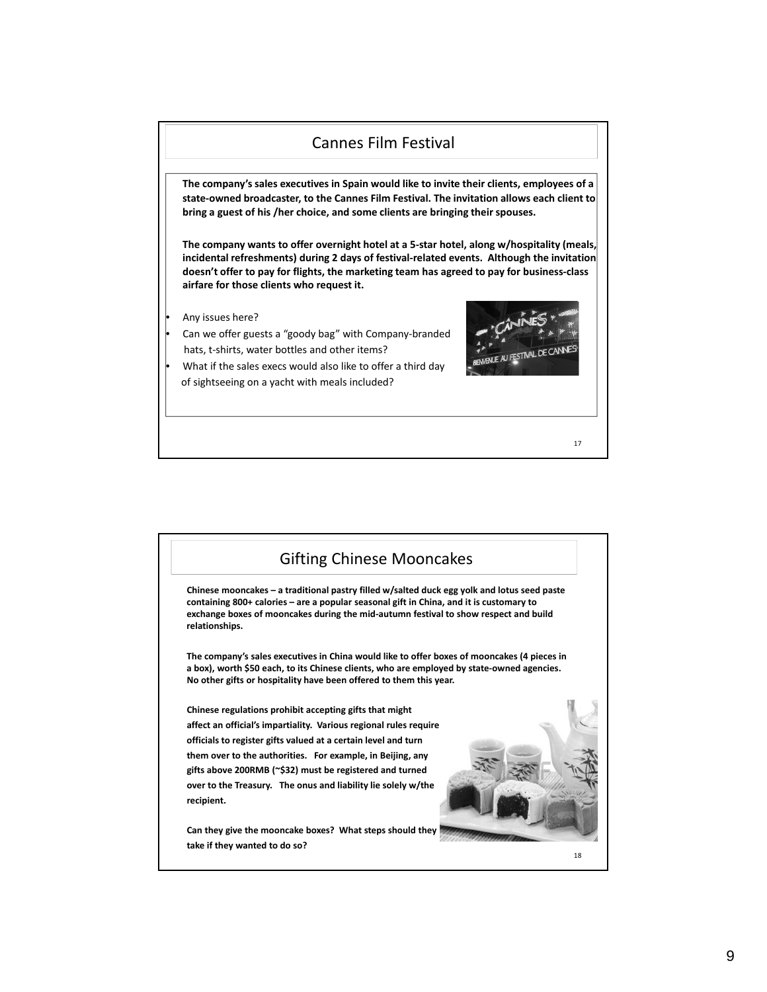

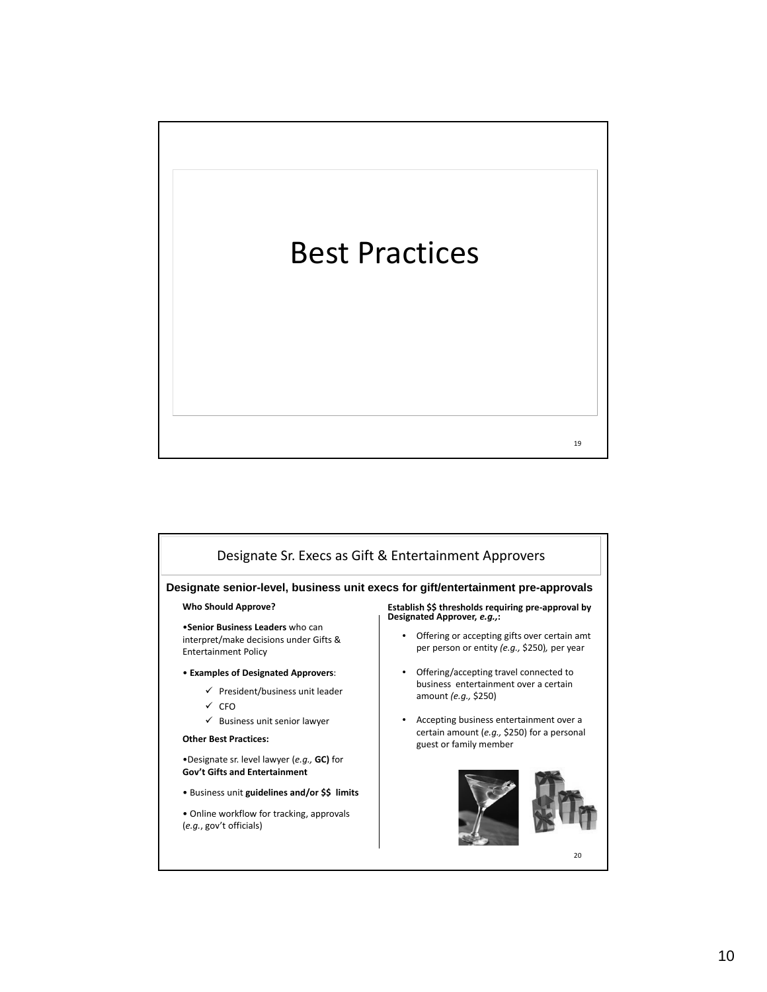

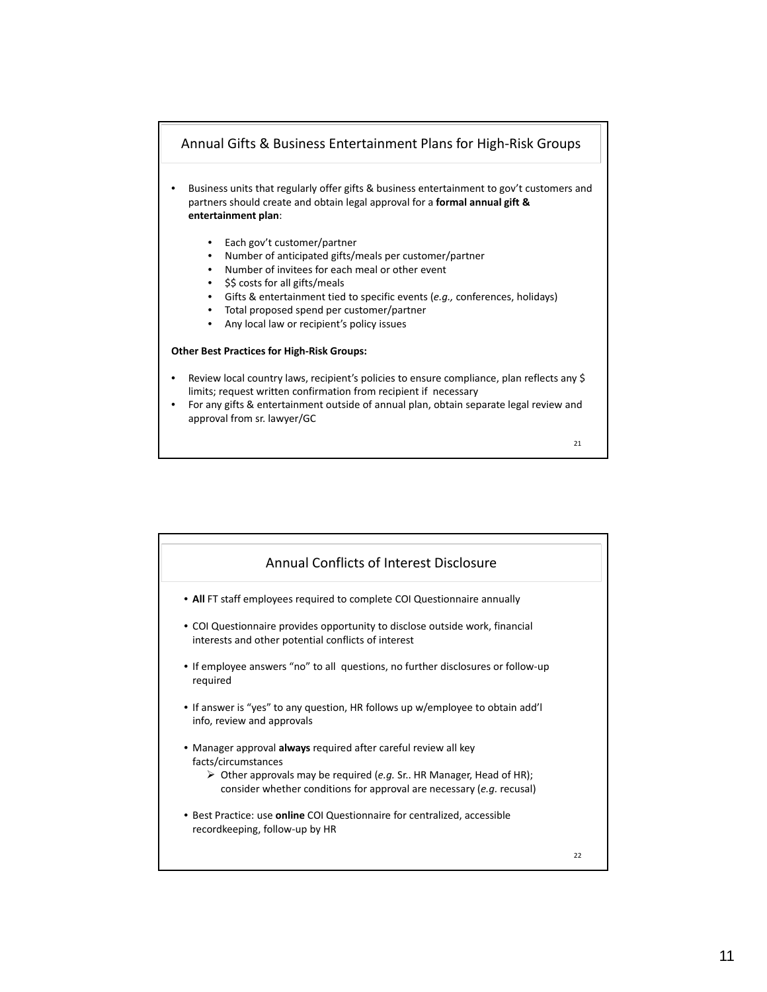

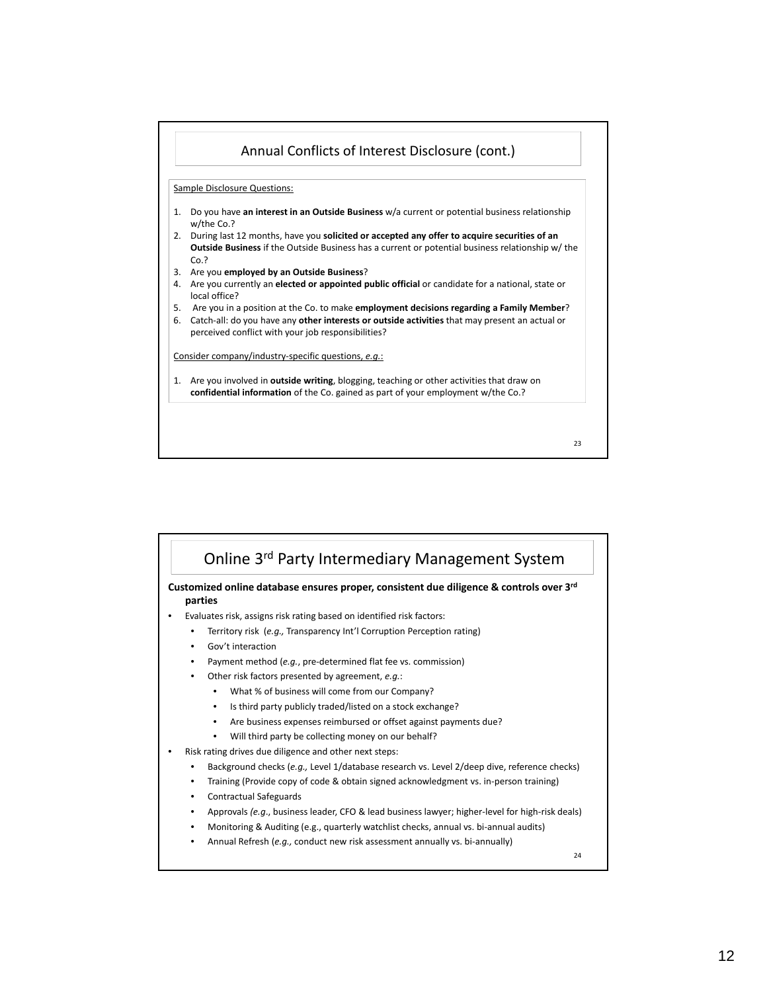



24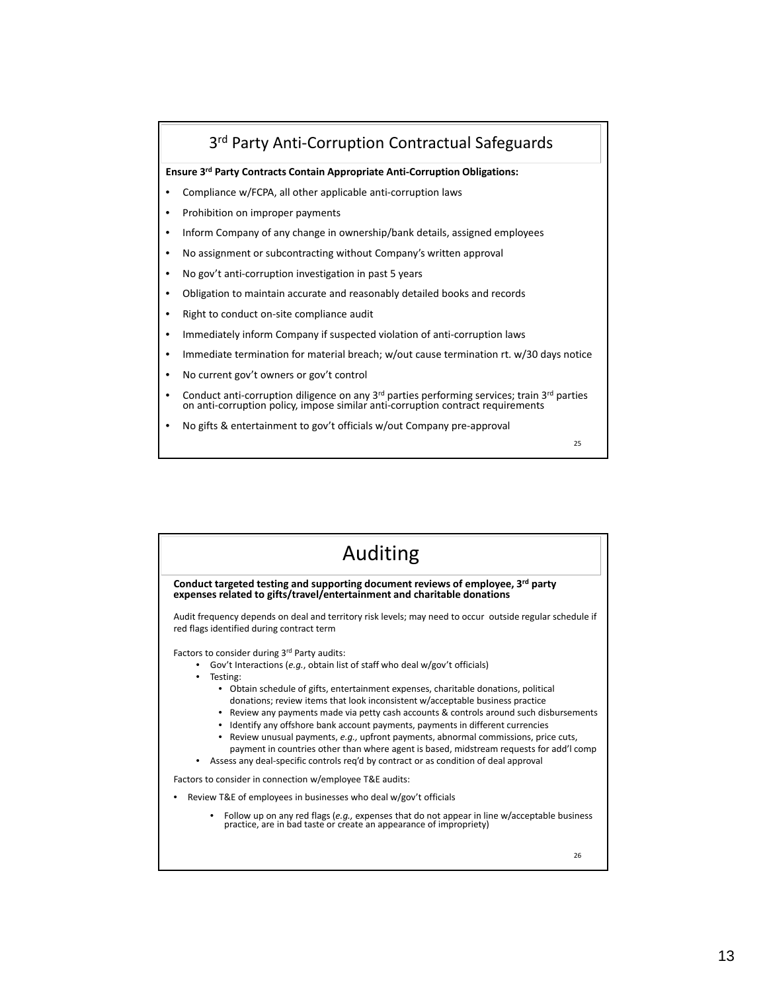# 3rd Party Anti‐Corruption Contractual Safeguards

**Ensure 3rd Party Contracts Contain Appropriate Anti‐Corruption Obligations:**

- Compliance w/FCPA, all other applicable anti‐corruption laws
- Prohibition on improper payments
- Inform Company of any change in ownership/bank details, assigned employees
- No assignment or subcontracting without Company's written approval
- No gov't anti‐corruption investigation in past 5 years
- Obligation to maintain accurate and reasonably detailed books and records
- Right to conduct on‐site compliance audit
- Immediately inform Company if suspected violation of anti-corruption laws
- Immediate termination for material breach; w/out cause termination rt. w/30 days notice
- No current gov't owners or gov't control
- Conduct anti‐corruption diligence on any  $3^{rd}$  parties performing services; train  $3^{rd}$  parties on anti-corruption policy, impose similar anti‐corruption contract requirements
- No gifts & entertainment to gov't officials w/out Company pre‐approval